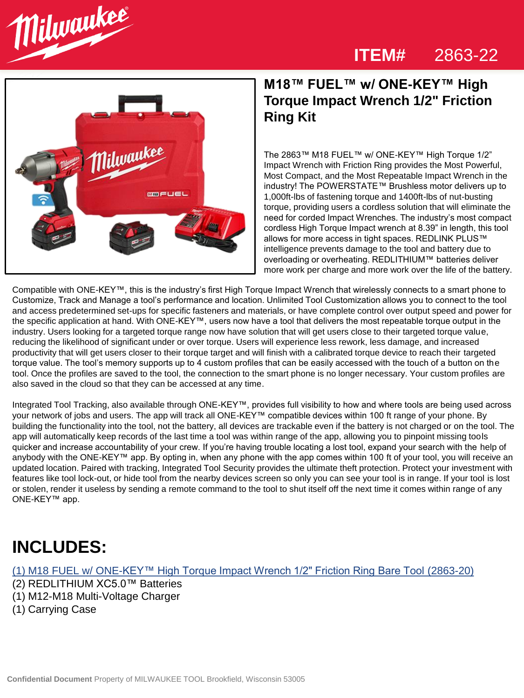#### **ITEM#** 2863-22





### **M18™ FUEL™ w/ ONE-KEY™ High Torque Impact Wrench 1/2" Friction Ring Kit**

The 2863™ M18 FUEL™ w/ ONE-KEY™ High Torque 1/2" Impact Wrench with Friction Ring provides the Most Powerful, Most Compact, and the Most Repeatable Impact Wrench in the industry! The POWERSTATE™ Brushless motor delivers up to 1,000ft-lbs of fastening torque and 1400ft-lbs of nut-busting torque, providing users a cordless solution that will eliminate the need for corded Impact Wrenches. The industry's most compact cordless High Torque Impact wrench at 8.39" in length, this tool allows for more access in tight spaces. REDLINK PLUS™ intelligence prevents damage to the tool and battery due to overloading or overheating. REDLITHIUM™ batteries deliver more work per charge and more work over the life of the battery.

Compatible with ONE-KEY™, this is the industry's first High Torque Impact Wrench that wirelessly connects to a smart phone to Customize, Track and Manage a tool's performance and location. Unlimited Tool Customization allows you to connect to the tool and access predetermined set-ups for specific fasteners and materials, or have complete control over output speed and power for the specific application at hand. With ONE-KEY™, users now have a tool that delivers the most repeatable torque output in the industry. Users looking for a targeted torque range now have solution that will get users close to their targeted torque value, reducing the likelihood of significant under or over torque. Users will experience less rework, less damage, and increased productivity that will get users closer to their torque target and will finish with a calibrated torque device to reach their targeted torque value. The tool's memory supports up to 4 custom profiles that can be easily accessed with the touch of a button on the tool. Once the profiles are saved to the tool, the connection to the smart phone is no longer necessary. Your custom profiles are also saved in the cloud so that they can be accessed at any time.

Integrated Tool Tracking, also available through ONE-KEY™, provides full visibility to how and where tools are being used across your network of jobs and users. The app will track all ONE-KEY™ compatible devices within 100 ft range of your phone. By building the functionality into the tool, not the battery, all devices are trackable even if the battery is not charged or on the tool. The app will automatically keep records of the last time a tool was within range of the app, allowing you to pinpoint missing tools quicker and increase accountability of your crew. If you're having trouble locating a lost tool, expand your search with the help of anybody with the ONE-KEY™ app. By opting in, when any phone with the app comes within 100 ft of your tool, you will receive an updated location. Paired with tracking, Integrated Tool Security provides the ultimate theft protection. Protect your investment with features like tool lock-out, or hide tool from the nearby devices screen so only you can see your tool is in range. If your tool is lost or stolen, render it useless by sending a remote command to the tool to shut itself off the next time it comes within range of any ONE-KEY™ app.

### **INCLUDES:**

### (1) [M18 FUEL w/ ONE-KEY™ High Torque Impact Wrench 1/2" Friction Ring Bare Tool](https://www.milwaukeetool.com/Products/Power-Tools/Fastening/Impact-Wrenches/2863-20) (2863-20)

- (2) REDLITHIUM XC5.0™ Batteries
- (1) M12-M18 Multi-Voltage Charger
- (1) Carrying Case